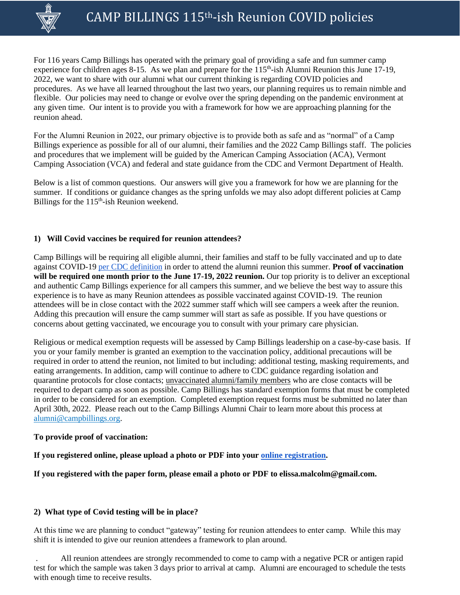

For 116 years Camp Billings has operated with the primary goal of providing a safe and fun summer camp experience for children ages 8-15. As we plan and prepare for the 115<sup>th</sup>-ish Alumni Reunion this June 17-19, 2022, we want to share with our alumni what our current thinking is regarding COVID policies and procedures. As we have all learned throughout the last two years, our planning requires us to remain nimble and flexible. Our policies may need to change or evolve over the spring depending on the pandemic environment at any given time. Our intent is to provide you with a framework for how we are approaching planning for the reunion ahead.

For the Alumni Reunion in 2022, our primary objective is to provide both as safe and as "normal" of a Camp Billings experience as possible for all of our alumni, their families and the 2022 Camp Billings staff. The policies and procedures that we implement will be guided by the American Camping Association (ACA), Vermont Camping Association (VCA) and federal and state guidance from the CDC and Vermont Department of Health.

Below is a list of common questions. Our answers will give you a framework for how we are planning for the summer. If conditions or guidance changes as the spring unfolds we may also adopt different policies at Camp Billings for the 115<sup>th</sup>-ish Reunion weekend.

# **1) Will Covid vaccines be required for reunion attendees?**

Camp Billings will be requiring all eligible alumni, their families and staff to be fully vaccinated and up to date against COVID-19 [per CDC definition](https://www.cdc.gov/coronavirus/2019-ncov/vaccines/stay-up-to-date.htm) in order to attend the alumni reunion this summer. **Proof of vaccination will be required one month prior to the June 17-19, 2022 reunion.** Our top priority is to deliver an exceptional and authentic Camp Billings experience for all campers this summer, and we believe the best way to assure this experience is to have as many Reunion attendees as possible vaccinated against COVID-19. The reunion attendees will be in close contact with the 2022 summer staff which will see campers a week after the reunion. Adding this precaution will ensure the camp summer will start as safe as possible. If you have questions or concerns about getting vaccinated, we encourage you to consult with your primary care physician.

Religious or medical exemption requests will be assessed by Camp Billings leadership on a case-by-case basis. If you or your family member is granted an exemption to the vaccination policy, additional precautions will be required in order to attend the reunion, not limited to but including: additional testing, masking requirements, and eating arrangements. In addition, camp will continue to adhere to CDC guidance regarding isolation and quarantine protocols for close contacts; unvaccinated alumni/family members who are close contacts will be required to depart camp as soon as possible. Camp Billings has standard exemption forms that must be completed in order to be considered for an exemption. Completed exemption request forms must be submitted no later than April 30th, 2022. Please reach out to the Camp Billings Alumni Chair to learn more about this process at [alumni@campbillings.org.](mailto:alumni@campbillings.org)

## **To provide proof of vaccination:**

**If you registered online, please upload a photo or PDF into your [online registration.](http://campbillings.campbrainregistration.com/)**

**If you registered with the paper form, please email a photo or PDF to elissa.malcolm@gmail.com.**

## **2) What type of Covid testing will be in place?**

At this time we are planning to conduct "gateway" testing for reunion attendees to enter camp. While this may shift it is intended to give our reunion attendees a framework to plan around.

. All reunion attendees are strongly recommended to come to camp with a negative PCR or antigen rapid test for which the sample was taken 3 days prior to arrival at camp. Alumni are encouraged to schedule the tests with enough time to receive results.